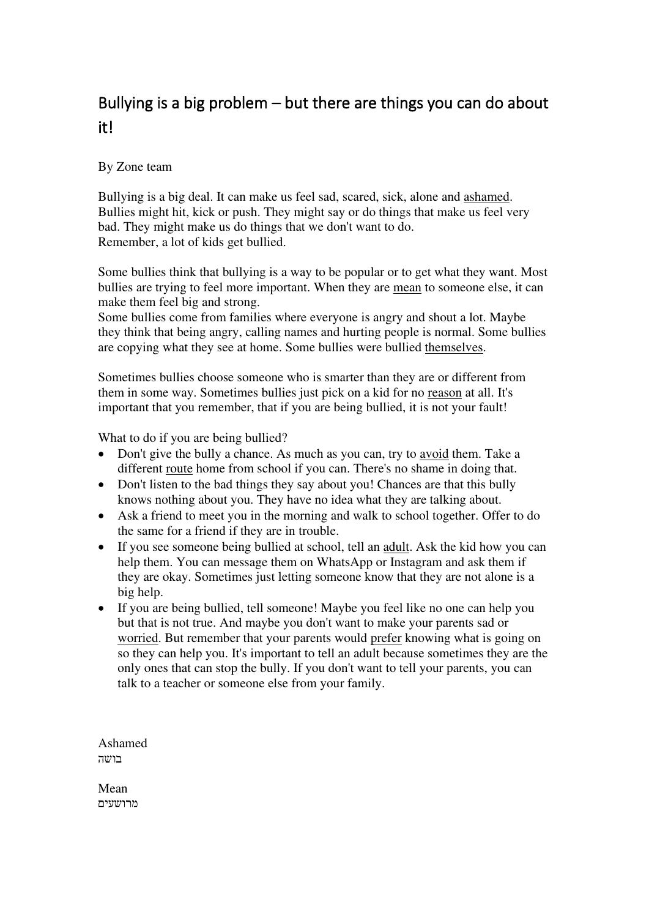## Bullying is a big problem – but there are things you can do about it!

## By Zone team

Bullying is a big deal. It can make us feel sad, scared, sick, alone and ashamed. Bullies might hit, kick or push. They might say or do things that make us feel very bad. They might make us do things that we don't want to do. Remember, a lot of kids get bullied.

Some bullies think that bullying is a way to be popular or to get what they want. Most bullies are trying to feel more important. When they are mean to someone else, it can make them feel big and strong.

Some bullies come from families where everyone is angry and shout a lot. Maybe they think that being angry, calling names and hurting people is normal. Some bullies are copying what they see at home. Some bullies were bullied themselves.

Sometimes bullies choose someone who is smarter than they are or different from them in some way. Sometimes bullies just pick on a kid for no reason at all. It's important that you remember, that if you are being bullied, it is not your fault!

What to do if you are being bullied?

- Don't give the bully a chance. As much as you can, try to avoid them. Take a different route home from school if you can. There's no shame in doing that.
- Don't listen to the bad things they say about you! Chances are that this bully knows nothing about you. They have no idea what they are talking about.
- Ask a friend to meet you in the morning and walk to school together. Offer to do the same for a friend if they are in trouble.
- If you see someone being bullied at school, tell an adult. Ask the kid how you can help them. You can message them on WhatsApp or Instagram and ask them if they are okay. Sometimes just letting someone know that they are not alone is a big help.
- If you are being bullied, tell someone! Maybe you feel like no one can help you but that is not true. And maybe you don't want to make your parents sad or worried. But remember that your parents would prefer knowing what is going on so they can help you. It's important to tell an adult because sometimes they are the only ones that can stop the bully. If you don't want to tell your parents, you can talk to a teacher or someone else from your family.

Ashamed בושה

Mean מרושעים